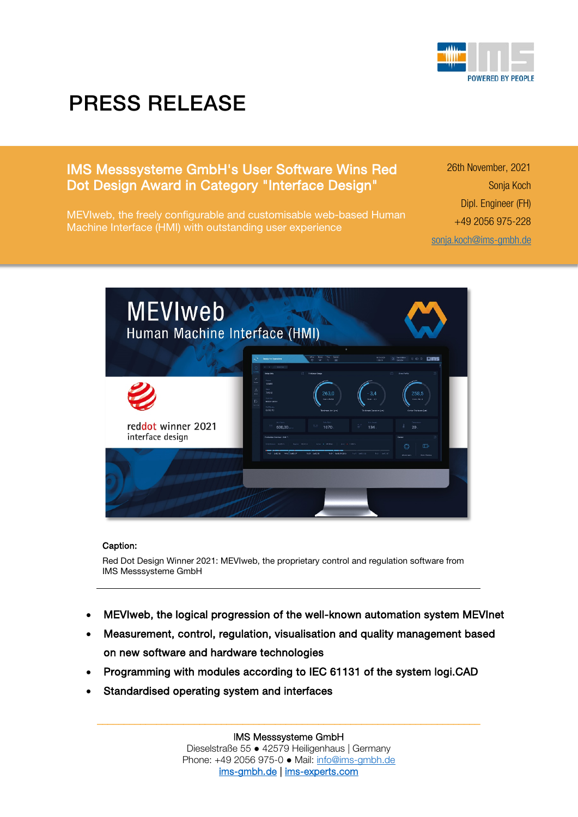

## PRESS RELEASE

## IMS Messsysteme GmbH's User Software Wins Red Dot Design Award in Category "Interface Design"

MEVIweb, the freely configurable and customisable web-based Human Machine Interface (HMI) with outstanding user experience

26th November, 2021 Sonja Koch Dipl. Engineer (FH) +49 2056 975-228 [sonja.koch@ims-gmbh.de](mailto:sonja.koch@ims-gmbh.de)



## Caption:

Red Dot Design Winner 2021: MEVIweb, the proprietary control and regulation software from IMS Messsysteme GmbH

- MEVIweb, the logical progression of the well-known automation system MEVInet
- Measurement, control, regulation, visualisation and quality management based on new software and hardware technologies
- Programming with modules according to IEC 61131 of the system logi.CAD
- Standardised operating system and interfaces

IMS Messsysteme GmbH Dieselstraße 55 ● 42579 Heiligenhaus | Germany Phone: +49 2056 975-0 ● Mail: [info@ims-gmbh.de](mailto:info@ims-gmbh.de) [ims-gmbh.de](https://www.ims-gmbh.de/) | [ims-experts.com](https://www.ims-experts.com/) 

\_\_\_\_\_\_\_\_\_\_\_\_\_\_\_\_\_\_\_\_\_\_\_\_\_\_\_\_\_\_\_\_\_\_\_\_\_\_\_\_\_\_\_\_\_\_\_\_\_\_\_\_\_\_\_\_\_\_\_\_\_\_\_\_\_\_\_\_\_\_\_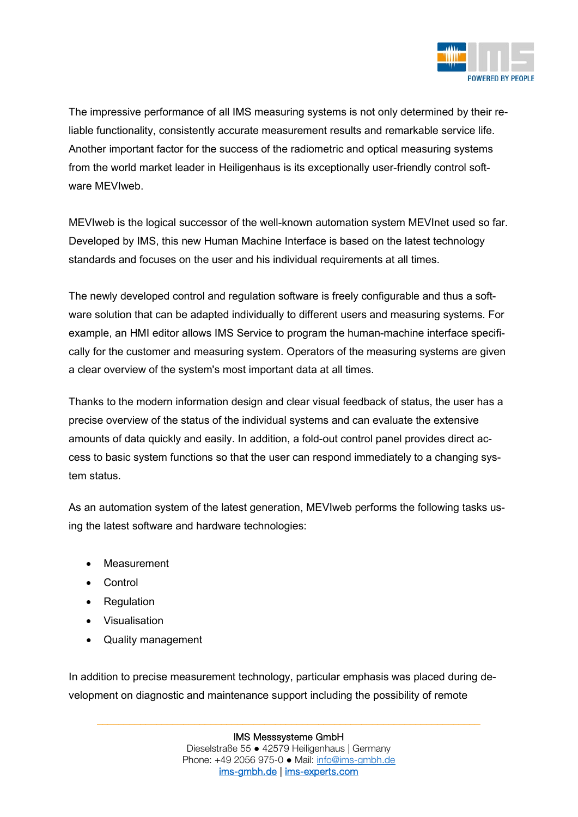

The impressive performance of all IMS measuring systems is not only determined by their reliable functionality, consistently accurate measurement results and remarkable service life. Another important factor for the success of the radiometric and optical measuring systems from the world market leader in Heiligenhaus is its exceptionally user-friendly control software MEVIweb.

MEVIweb is the logical successor of the well-known automation system MEVInet used so far. Developed by IMS, this new Human Machine Interface is based on the latest technology standards and focuses on the user and his individual requirements at all times.

The newly developed control and regulation software is freely configurable and thus a software solution that can be adapted individually to different users and measuring systems. For example, an HMI editor allows IMS Service to program the human-machine interface specifically for the customer and measuring system. Operators of the measuring systems are given a clear overview of the system's most important data at all times.

Thanks to the modern information design and clear visual feedback of status, the user has a precise overview of the status of the individual systems and can evaluate the extensive amounts of data quickly and easily. In addition, a fold-out control panel provides direct access to basic system functions so that the user can respond immediately to a changing system status.

As an automation system of the latest generation, MEVIweb performs the following tasks using the latest software and hardware technologies:

- Measurement
- Control
- Regulation
- Visualisation
- Quality management

In addition to precise measurement technology, particular emphasis was placed during development on diagnostic and maintenance support including the possibility of remote

\_\_\_\_\_\_\_\_\_\_\_\_\_\_\_\_\_\_\_\_\_\_\_\_\_\_\_\_\_\_\_\_\_\_\_\_\_\_\_\_\_\_\_\_\_\_\_\_\_\_\_\_\_\_\_\_\_\_\_\_\_\_\_\_\_\_\_\_\_\_\_